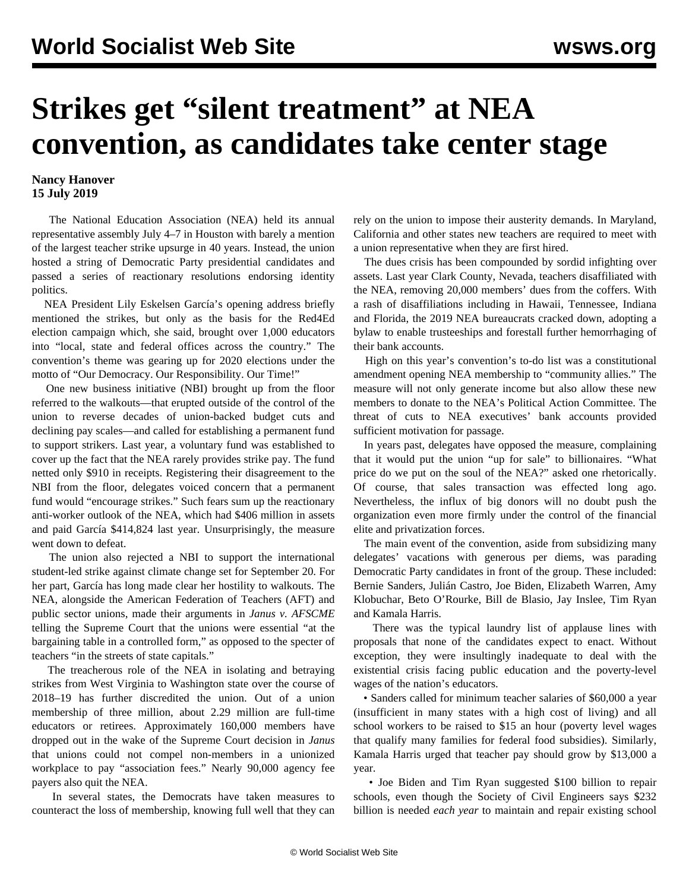## **Strikes get "silent treatment" at NEA convention, as candidates take center stage**

## **Nancy Hanover 15 July 2019**

 The National Education Association (NEA) held its annual representative assembly July 4–7 in Houston with barely a mention of the largest teacher strike upsurge in 40 years. Instead, the union hosted a string of Democratic Party presidential candidates and passed a series of reactionary resolutions endorsing identity politics.

 NEA President Lily Eskelsen García's opening address briefly mentioned the strikes, but only as the basis for the Red4Ed election campaign which, she said, brought over 1,000 educators into "local, state and federal offices across the country." The convention's theme was gearing up for 2020 elections under the motto of "Our Democracy. Our Responsibility. Our Time!"

 One new business initiative (NBI) brought up from the floor referred to the walkouts—that erupted outside of the control of the union to reverse decades of union-backed budget cuts and declining pay scales—and called for establishing a permanent fund to support strikers. Last year, a voluntary fund was established to cover up the fact that the NEA rarely provides strike pay. The fund netted only \$910 in receipts. Registering their disagreement to the NBI from the floor, delegates voiced concern that a permanent fund would "encourage strikes." Such fears sum up the reactionary anti-worker outlook of the NEA, which had \$406 million in assets and paid García \$414,824 last year. Unsurprisingly, the measure went down to defeat.

 The union also rejected a NBI to support the international student-led strike against climate change set for September 20. For her part, García has long made clear her hostility to walkouts. The NEA, alongside the American Federation of Teachers (AFT) and public sector unions, made their arguments in *Janus v. AFSCME* telling the Supreme Court that the unions were essential "at the bargaining table in a controlled form," as opposed to the specter of teachers "in the streets of state capitals."

 The treacherous role of the NEA in isolating and betraying strikes from West Virginia to Washington state over the course of 2018–19 has further discredited the union. Out of a union membership of three million, about 2.29 million are full-time educators or retirees. Approximately 160,000 members have dropped out in the wake of the Supreme Court decision in *Janus* that unions could not compel non-members in a unionized workplace to pay "association fees." Nearly 90,000 agency fee payers also quit the NEA.

 In several states, the Democrats have taken measures to counteract the loss of membership, knowing full well that they can rely on the union to impose their austerity demands. In Maryland, California and other states new teachers are required to meet with a union representative when they are first hired.

 The dues crisis has been compounded by sordid infighting over assets. Last year Clark County, Nevada, teachers disaffiliated with the NEA, removing 20,000 members' dues from the coffers. With a rash of disaffiliations including in Hawaii, Tennessee, Indiana and Florida, the 2019 NEA bureaucrats cracked down, adopting a bylaw to enable trusteeships and forestall further hemorrhaging of their bank accounts.

 High on this year's convention's to-do list was a constitutional amendment opening NEA membership to "community allies." The measure will not only generate income but also allow these new members to donate to the NEA's Political Action Committee. The threat of cuts to NEA executives' bank accounts provided sufficient motivation for passage.

 In years past, delegates have opposed the measure, complaining that it would put the union "up for sale" to billionaires. "What price do we put on the soul of the NEA?" asked one rhetorically. Of course, that sales transaction was effected long ago. Nevertheless, the influx of big donors will no doubt push the organization even more firmly under the control of the financial elite and privatization forces.

 The main event of the convention, aside from subsidizing many delegates' vacations with generous per diems, was parading Democratic Party candidates in front of the group. These included: Bernie Sanders, Julián Castro, Joe Biden, Elizabeth Warren, Amy Klobuchar, Beto O'Rourke, Bill de Blasio, Jay Inslee, Tim Ryan and Kamala Harris.

 There was the typical laundry list of applause lines with proposals that none of the candidates expect to enact. Without exception, they were insultingly inadequate to deal with the existential crisis facing public education and the poverty-level wages of the nation's educators.

 • Sanders called for minimum teacher salaries of \$60,000 a year (insufficient in many states with a high cost of living) and all school workers to be raised to \$15 an hour (poverty level wages that qualify many families for federal food subsidies). Similarly, Kamala Harris urged that teacher pay should grow by \$13,000 a year.

 • Joe Biden and Tim Ryan suggested \$100 billion to repair schools, even though the Society of Civil Engineers says \$232 billion is needed *each year* to maintain and repair existing school